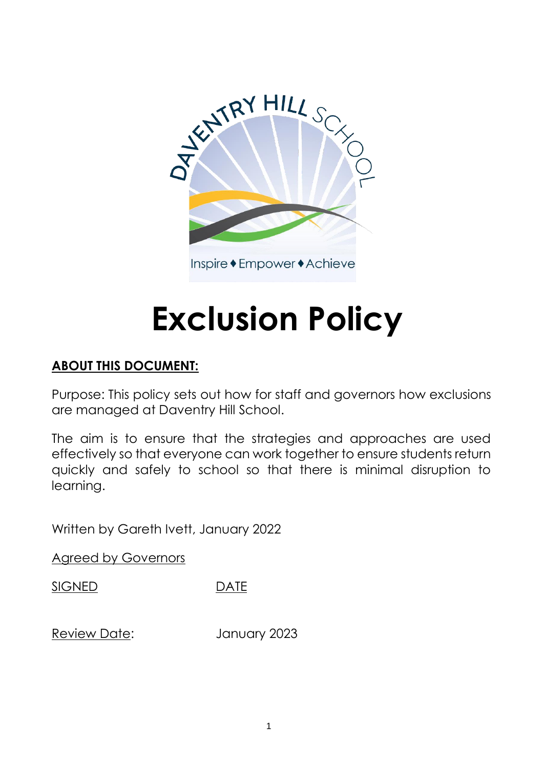

# **Exclusion Policy**

# **ABOUT THIS DOCUMENT:**

Purpose: This policy sets out how for staff and governors how exclusions are managed at Daventry Hill School.

The aim is to ensure that the strategies and approaches are used effectively so that everyone can work together to ensure students return quickly and safely to school so that there is minimal disruption to learning.

Written by Gareth Ivett, January 2022

Agreed by Governors

SIGNED DATE

Review Date: January 2023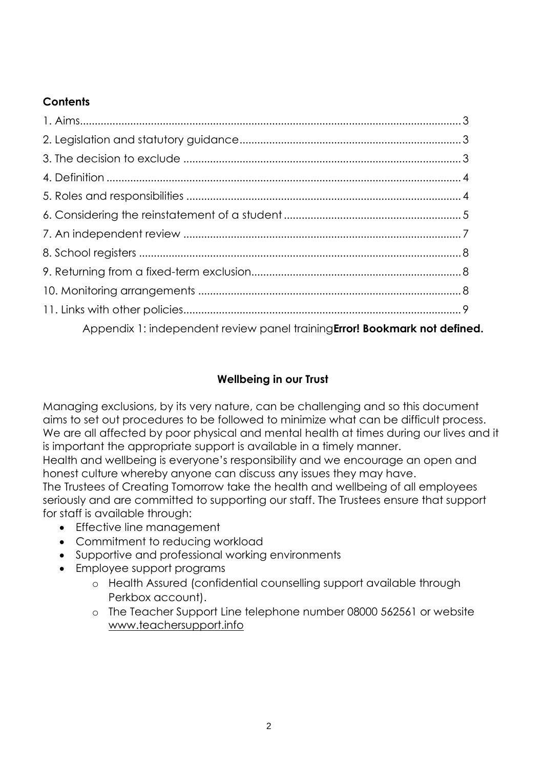#### **Contents**

| Appendix 1: independent review panel training Error! Bookmark not defined. |  |
|----------------------------------------------------------------------------|--|

## **Wellbeing in our Trust**

Managing exclusions, by its very nature, can be challenging and so this document aims to set out procedures to be followed to minimize what can be difficult process. We are all affected by poor physical and mental health at times during our lives and it is important the appropriate support is available in a timely manner.

Health and wellbeing is everyone's responsibility and we encourage an open and honest culture whereby anyone can discuss any issues they may have.

The Trustees of Creating Tomorrow take the health and wellbeing of all employees seriously and are committed to supporting our staff. The Trustees ensure that support for staff is available through:

- Effective line management
- Commitment to reducing workload
- Supportive and professional working environments
- Employee support programs
	- o Health Assured (confidential counselling support available through Perkbox account).
	- o The Teacher Support Line telephone number 08000 562561 or website [www.teachersupport.info](http://www.teachersupport.info/)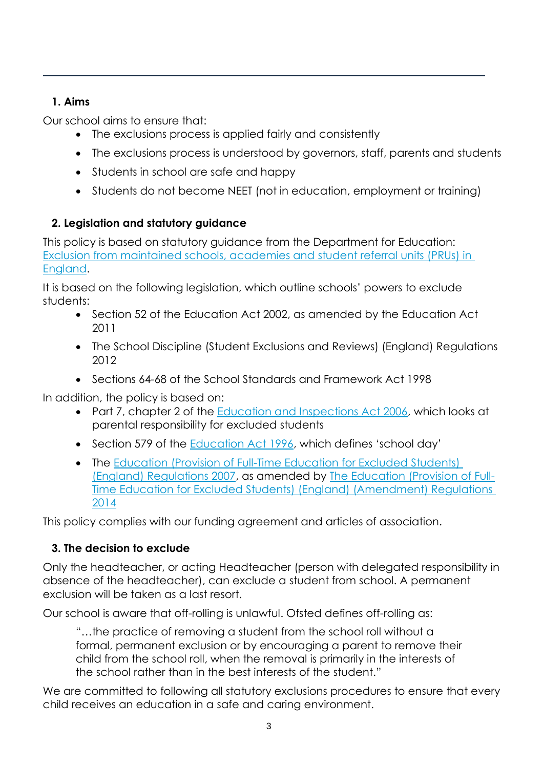#### **1. Aims**

Our school aims to ensure that:

- The exclusions process is applied fairly and consistently
- The exclusions process is understood by governors, staff, parents and students
- Students in school are safe and happy
- Students do not become NEET (not in education, employment or training)

# **2. Legislation and statutory guidance**

This policy is based on statutory guidance from the Department for Education: [Exclusion from maintained schools, academies and student](https://www.gov.uk/government/publications/school-exclusion) referral units (PRUs) in [England.](https://www.gov.uk/government/publications/school-exclusion)

It is based on the following legislation, which outline schools' powers to exclude students:

- Section 52 of the [Education Act 2002,](http://www.legislation.gov.uk/ukpga/2002/32/section/52) as amended by the Education Act [2011](http://www.legislation.gov.uk/ukpga/2011/21/contents/enacted)
- The School Discipline (Student [Exclusions and Reviews\) \(England\) Regulations](http://www.legislation.gov.uk/uksi/2012/1033/made)  [2012](http://www.legislation.gov.uk/uksi/2012/1033/made)
- Sections 64-68 of the [School Standards and Framework Act 1998](http://www.legislation.gov.uk/ukpga/1998/31)

In addition, the policy is based on:

- Part 7, chapter 2 of the [Education and Inspections Act 2006,](http://www.legislation.gov.uk/ukpga/2006/40/part/7/chapter/2) which looks at parental responsibility for excluded students
- Section 579 of the [Education Act 1996,](http://www.legislation.gov.uk/ukpga/1996/56/section/579) which defines 'school day'
- The Education (Provision of Full-Time Education for Excluded Students) [\(England\) Regulations 2007,](http://www.legislation.gov.uk/uksi/2007/1870/contents/made) as amended by [The Education \(Provision of Full-](http://www.legislation.gov.uk/uksi/2014/3216/contents/made)[Time Education for Excluded Students\) \(England\) \(Amendment\) Regulations](http://www.legislation.gov.uk/uksi/2014/3216/contents/made)  [2014](http://www.legislation.gov.uk/uksi/2014/3216/contents/made)

This policy complies with our funding agreement and articles of association.

# **3. The decision to exclude**

Only the headteacher, or acting Headteacher (person with delegated responsibility in absence of the headteacher), can exclude a student from school. A permanent exclusion will be taken as a last resort.

Our school is aware that off-rolling is unlawful. Ofsted defines off-rolling as:

"…the practice of removing a student from the school roll without a formal, permanent exclusion or by encouraging a parent to remove their child from the school roll, when the removal is primarily in the interests of the school rather than in the best interests of the student."

We are committed to following all statutory exclusions procedures to ensure that every child receives an education in a safe and caring environment.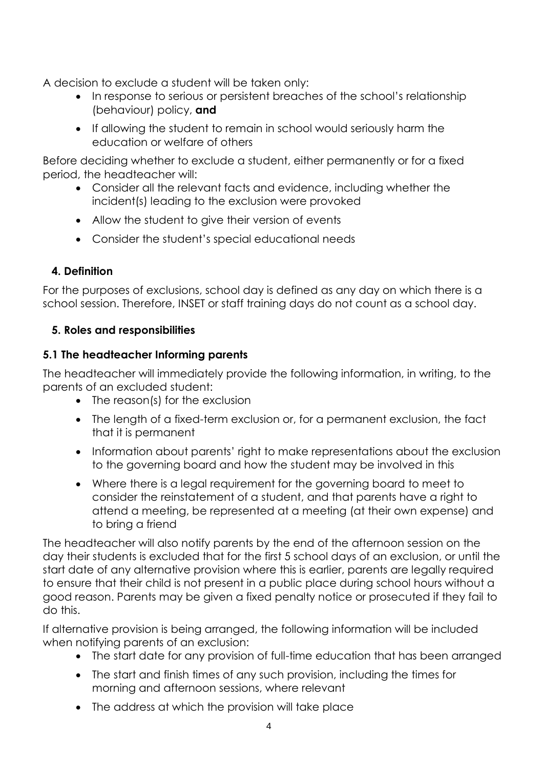A decision to exclude a student will be taken only:

- In response to serious or persistent breaches of the school's relationship (behaviour) policy, **and**
- If allowing the student to remain in school would seriously harm the education or welfare of others

Before deciding whether to exclude a student, either permanently or for a fixed period, the headteacher will:

- Consider all the relevant facts and evidence, including whether the incident(s) leading to the exclusion were provoked
- Allow the student to give their version of events
- Consider the student's special educational needs

#### **4. Definition**

For the purposes of exclusions, school day is defined as any day on which there is a school session. Therefore, INSET or staff training days do not count as a school day.

#### **5. Roles and responsibilities**

#### **5.1 The headteacher Informing parents**

The headteacher will immediately provide the following information, in writing, to the parents of an excluded student:

- The reason(s) for the exclusion
- The length of a fixed-term exclusion or, for a permanent exclusion, the fact that it is permanent
- Information about parents' right to make representations about the exclusion to the governing board and how the student may be involved in this
- Where there is a legal requirement for the governing board to meet to consider the reinstatement of a student, and that parents have a right to attend a meeting, be represented at a meeting (at their own expense) and to bring a friend

The headteacher will also notify parents by the end of the afternoon session on the day their students is excluded that for the first 5 school days of an exclusion, or until the start date of any alternative provision where this is earlier, parents are legally required to ensure that their child is not present in a public place during school hours without a good reason. Parents may be given a fixed penalty notice or prosecuted if they fail to do this.

If alternative provision is being arranged, the following information will be included when notifying parents of an exclusion:

- The start date for any provision of full-time education that has been arranged
- The start and finish times of any such provision, including the times for morning and afternoon sessions, where relevant
- The address at which the provision will take place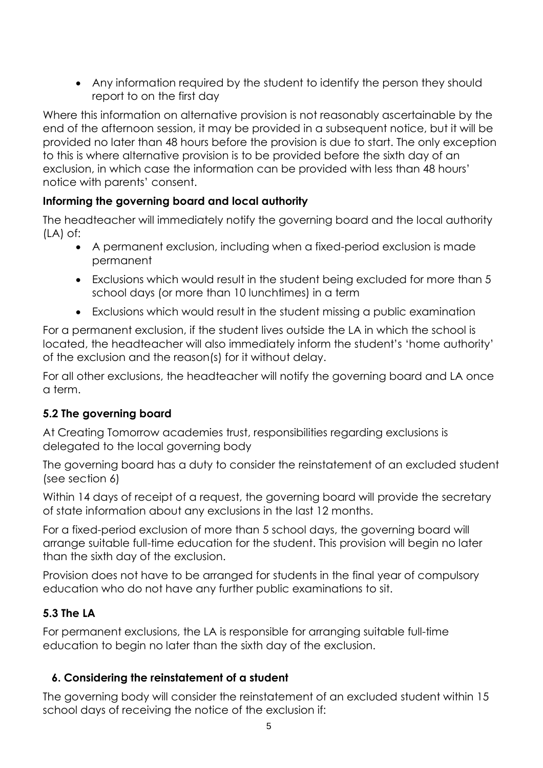Any information required by the student to identify the person they should report to on the first day

Where this information on alternative provision is not reasonably ascertainable by the end of the afternoon session, it may be provided in a subsequent notice, but it will be provided no later than 48 hours before the provision is due to start. The only exception to this is where alternative provision is to be provided before the sixth day of an exclusion, in which case the information can be provided with less than 48 hours' notice with parents' consent.

#### **Informing the governing board and local authority**

The headteacher will immediately notify the governing board and the local authority (LA) of:

- A permanent exclusion, including when a fixed-period exclusion is made permanent
- Exclusions which would result in the student being excluded for more than 5 school days (or more than 10 lunchtimes) in a term
- Exclusions which would result in the student missing a public examination

For a permanent exclusion, if the student lives outside the LA in which the school is located, the headteacher will also immediately inform the student's 'home authority' of the exclusion and the reason(s) for it without delay.

For all other exclusions, the headteacher will notify the governing board and LA once a term.

#### **5.2 The governing board**

At Creating Tomorrow academies trust, responsibilities regarding exclusions is delegated to the local governing body

The governing board has a duty to consider the reinstatement of an excluded student (see section 6)

Within 14 days of receipt of a request, the governing board will provide the secretary of state information about any exclusions in the last 12 months.

For a fixed-period exclusion of more than 5 school days, the governing board will arrange suitable full-time education for the student. This provision will begin no later than the sixth day of the exclusion.

Provision does not have to be arranged for students in the final year of compulsory education who do not have any further public examinations to sit.

#### **5.3 The LA**

For permanent exclusions, the LA is responsible for arranging suitable full-time education to begin no later than the sixth day of the exclusion.

#### **6. Considering the reinstatement of a student**

The governing body will consider the reinstatement of an excluded student within 15 school days of receiving the notice of the exclusion if: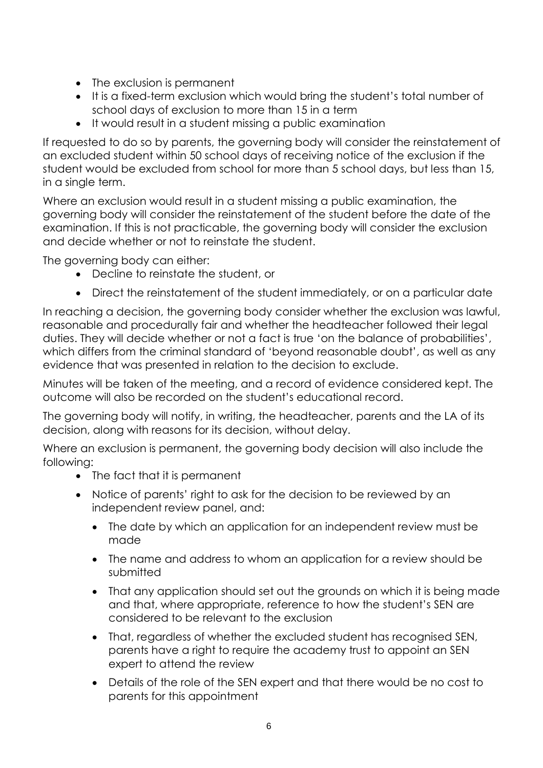- The exclusion is permanent
- It is a fixed-term exclusion which would bring the student's total number of school days of exclusion to more than 15 in a term
- It would result in a student missing a public examination

If requested to do so by parents, the governing body will consider the reinstatement of an excluded student within 50 school days of receiving notice of the exclusion if the student would be excluded from school for more than 5 school days, but less than 15, in a single term.

Where an exclusion would result in a student missing a public examination, the governing body will consider the reinstatement of the student before the date of the examination. If this is not practicable, the governing body will consider the exclusion and decide whether or not to reinstate the student.

The governing body can either:

- Decline to reinstate the student, or
- Direct the reinstatement of the student immediately, or on a particular date

In reaching a decision, the governing body consider whether the exclusion was lawful, reasonable and procedurally fair and whether the headteacher followed their legal duties. They will decide whether or not a fact is true 'on the balance of probabilities', which differs from the criminal standard of 'beyond reasonable doubt', as well as any evidence that was presented in relation to the decision to exclude.

Minutes will be taken of the meeting, and a record of evidence considered kept. The outcome will also be recorded on the student's educational record.

The governing body will notify, in writing, the headteacher, parents and the LA of its decision, along with reasons for its decision, without delay.

Where an exclusion is permanent, the governing body decision will also include the following:

- The fact that it is permanent
- Notice of parents' right to ask for the decision to be reviewed by an independent review panel, and:
	- The date by which an application for an independent review must be made
	- The name and address to whom an application for a review should be submitted
	- That any application should set out the grounds on which it is being made and that, where appropriate, reference to how the student's SEN are considered to be relevant to the exclusion
	- That, regardless of whether the excluded student has recognised SEN, parents have a right to require the academy trust to appoint an SEN expert to attend the review
	- Details of the role of the SEN expert and that there would be no cost to parents for this appointment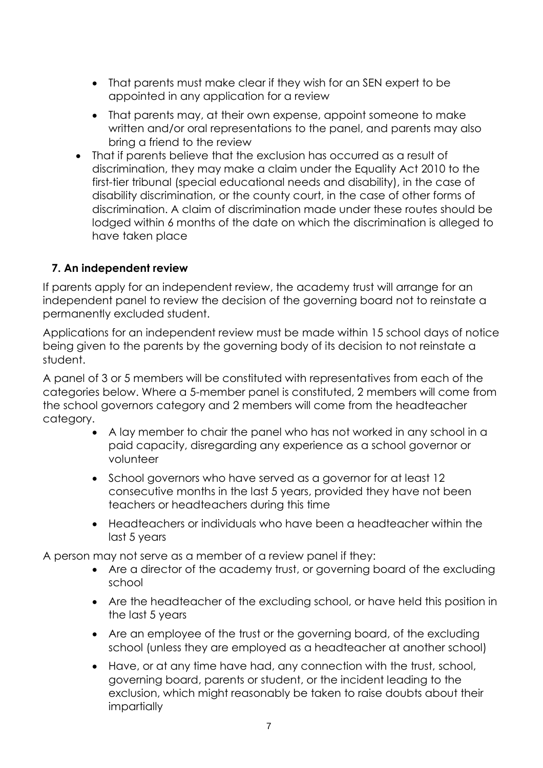- That parents must make clear if they wish for an SEN expert to be appointed in any application for a review
- That parents may, at their own expense, appoint someone to make written and/or oral representations to the panel, and parents may also bring a friend to the review
- That if parents believe that the exclusion has occurred as a result of discrimination, they may make a claim under the Equality Act 2010 to the first-tier tribunal (special educational needs and disability), in the case of disability discrimination, or the county court, in the case of other forms of discrimination. A claim of discrimination made under these routes should be lodged within 6 months of the date on which the discrimination is alleged to have taken place

#### **7. An independent review**

If parents apply for an independent review, the academy trust will arrange for an independent panel to review the decision of the governing board not to reinstate a permanently excluded student.

Applications for an independent review must be made within 15 school days of notice being given to the parents by the governing body of its decision to not reinstate a student.

A panel of 3 or 5 members will be constituted with representatives from each of the categories below. Where a 5-member panel is constituted, 2 members will come from the school governors category and 2 members will come from the headteacher category.

- A lay member to chair the panel who has not worked in any school in a paid capacity, disregarding any experience as a school governor or volunteer
- School governors who have served as a governor for at least 12 consecutive months in the last 5 years, provided they have not been teachers or headteachers during this time
- Headteachers or individuals who have been a headteacher within the last 5 years

A person may not serve as a member of a review panel if they:

- Are a director of the academy trust, or governing board of the excluding school
- Are the headteacher of the excluding school, or have held this position in the last 5 years
- Are an employee of the trust or the governing board, of the excluding school (unless they are employed as a headteacher at another school)
- Have, or at any time have had, any connection with the trust, school, governing board, parents or student, or the incident leading to the exclusion, which might reasonably be taken to raise doubts about their impartially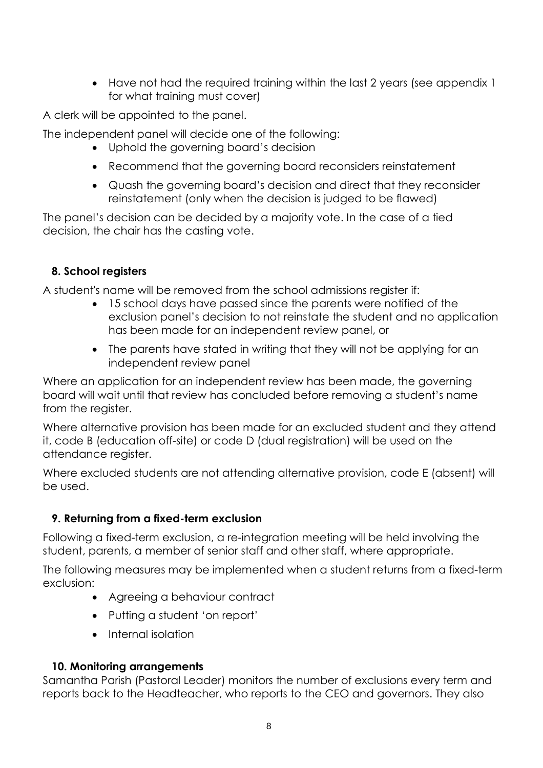Have not had the required training within the last 2 years (see appendix 1 for what training must cover)

A clerk will be appointed to the panel.

The independent panel will decide one of the following:

- Uphold the governing board's decision
- Recommend that the governing board reconsiders reinstatement
- Quash the governing board's decision and direct that they reconsider reinstatement (only when the decision is judged to be flawed)

The panel's decision can be decided by a majority vote. In the case of a tied decision, the chair has the casting vote.

#### **8. School registers**

A student's name will be removed from the school admissions register if:

- 15 school days have passed since the parents were notified of the exclusion panel's decision to not reinstate the student and no application has been made for an independent review panel, or
- The parents have stated in writing that they will not be applying for an independent review panel

Where an application for an independent review has been made, the governing board will wait until that review has concluded before removing a student's name from the register.

Where alternative provision has been made for an excluded student and they attend it, code B (education off-site) or code D (dual registration) will be used on the attendance register.

Where excluded students are not attending alternative provision, code E (absent) will be used.

#### **9. Returning from a fixed-term exclusion**

Following a fixed-term exclusion, a re-integration meeting will be held involving the student, parents, a member of senior staff and other staff, where appropriate.

The following measures may be implemented when a student returns from a fixed-term exclusion:

- Agreeing a behaviour contract
- Putting a student 'on report'
- Internal isolation

#### **10. Monitoring arrangements**

Samantha Parish (Pastoral Leader) monitors the number of exclusions every term and reports back to the Headteacher, who reports to the CEO and governors. They also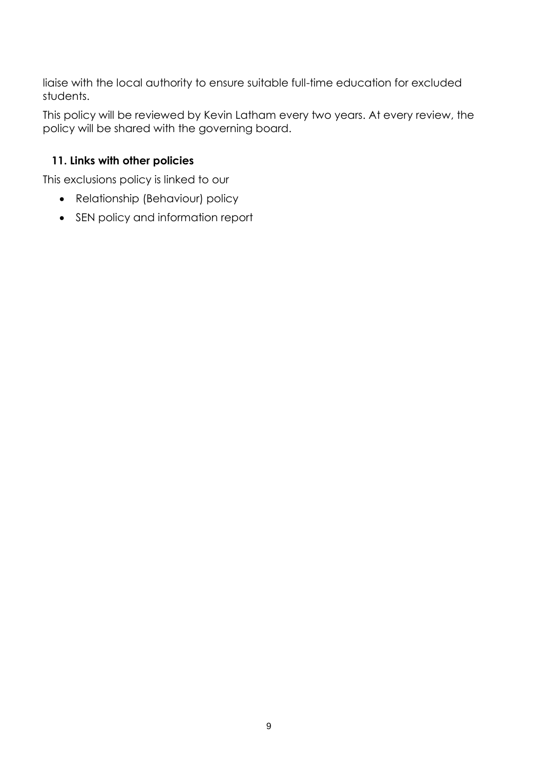liaise with the local authority to ensure suitable full-time education for excluded students.

This policy will be reviewed by Kevin Latham every two years. At every review, the policy will be shared with the governing board.

## **11. Links with other policies**

This exclusions policy is linked to our

- Relationship (Behaviour) policy
- SEN policy and information report